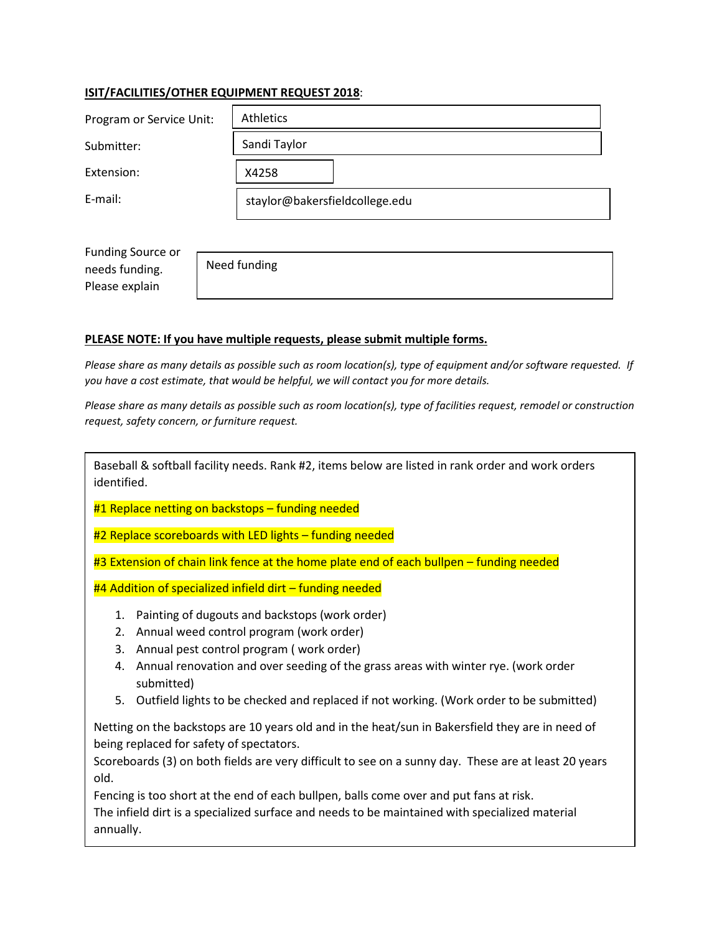## **ISIT/FACILITIES/OTHER EQUIPMENT REQUEST 2018**:

| Program or Service Unit: | <b>Athletics</b>               |
|--------------------------|--------------------------------|
| Submitter:               | Sandi Taylor                   |
| Extension:               | X4258                          |
| E-mail:                  | staylor@bakersfieldcollege.edu |

Funding Source or needs funding. Please explain

Need funding

## **PLEASE NOTE: If you have multiple requests, please submit multiple forms.**

*Please share as many details as possible such as room location(s), type of equipment and/or software requested. If you have a cost estimate, that would be helpful, we will contact you for more details.* 

*Please share as many details as possible such as room location(s), type of facilities request, remodel or construction request, safety concern, or furniture request.* 

Baseball & softball facility needs. Rank #2, items below are listed in rank order and work orders identified.

#1 Replace netting on backstops – funding needed

#2 Replace scoreboards with LED lights - funding needed

#3 Extension of chain link fence at the home plate end of each bullpen – funding needed

#4 Addition of specialized infield dirt – funding needed

- 1. Painting of dugouts and backstops (work order)
- 2. Annual weed control program (work order)
- 3. Annual pest control program ( work order)
- 4. Annual renovation and over seeding of the grass areas with winter rye. (work order submitted)
- 5. Outfield lights to be checked and replaced if not working. (Work order to be submitted)

Netting on the backstops are 10 years old and in the heat/sun in Bakersfield they are in need of being replaced for safety of spectators.

Scoreboards (3) on both fields are very difficult to see on a sunny day. These are at least 20 years old.

Fencing is too short at the end of each bullpen, balls come over and put fans at risk. The infield dirt is a specialized surface and needs to be maintained with specialized material annually.